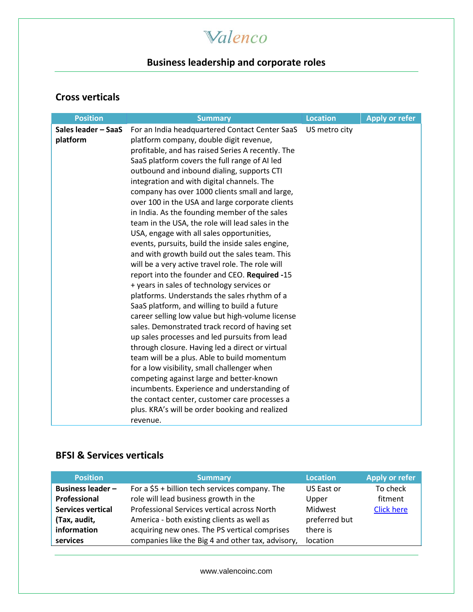## Walenco

## **Business leadership and corporate roles**

#### **Cross verticals**

| <b>Position</b>     | <b>Summary</b>                                    | <b>Location</b> | <b>Apply or refer</b> |
|---------------------|---------------------------------------------------|-----------------|-----------------------|
| Sales leader - SaaS | For an India headquartered Contact Center SaaS    | US metro city   |                       |
| platform            | platform company, double digit revenue,           |                 |                       |
|                     | profitable, and has raised Series A recently. The |                 |                       |
|                     | SaaS platform covers the full range of AI led     |                 |                       |
|                     | outbound and inbound dialing, supports CTI        |                 |                       |
|                     | integration and with digital channels. The        |                 |                       |
|                     | company has over 1000 clients small and large,    |                 |                       |
|                     | over 100 in the USA and large corporate clients   |                 |                       |
|                     | in India. As the founding member of the sales     |                 |                       |
|                     | team in the USA, the role will lead sales in the  |                 |                       |
|                     | USA, engage with all sales opportunities,         |                 |                       |
|                     | events, pursuits, build the inside sales engine,  |                 |                       |
|                     | and with growth build out the sales team. This    |                 |                       |
|                     | will be a very active travel role. The role will  |                 |                       |
|                     | report into the founder and CEO. Required -15     |                 |                       |
|                     | + years in sales of technology services or        |                 |                       |
|                     | platforms. Understands the sales rhythm of a      |                 |                       |
|                     | SaaS platform, and willing to build a future      |                 |                       |
|                     | career selling low value but high-volume license  |                 |                       |
|                     | sales. Demonstrated track record of having set    |                 |                       |
|                     | up sales processes and led pursuits from lead     |                 |                       |
|                     | through closure. Having led a direct or virtual   |                 |                       |
|                     | team will be a plus. Able to build momentum       |                 |                       |
|                     | for a low visibility, small challenger when       |                 |                       |
|                     | competing against large and better-known          |                 |                       |
|                     | incumbents. Experience and understanding of       |                 |                       |
|                     | the contact center, customer care processes a     |                 |                       |
|                     | plus. KRA's will be order booking and realized    |                 |                       |
|                     | revenue.                                          |                 |                       |

#### **BFSI & Services verticals**

| <b>Position</b>          | <b>Summary</b>                                    | Location      | <b>Apply or refer</b> |
|--------------------------|---------------------------------------------------|---------------|-----------------------|
| <b>Business leader -</b> | For a $$5+$ billion tech services company. The    | US East or    | To check              |
| Professional             | role will lead business growth in the             | Upper         | fitment               |
| <b>Services vertical</b> | Professional Services vertical across North       | Midwest       | <b>Click here</b>     |
| (Tax, audit,             | America - both existing clients as well as        | preferred but |                       |
| information              | acquiring new ones. The PS vertical comprises     | there is      |                       |
| services                 | companies like the Big 4 and other tax, advisory, | location      |                       |

[www.valencoinc.com](http://www.valencoinc.com/)